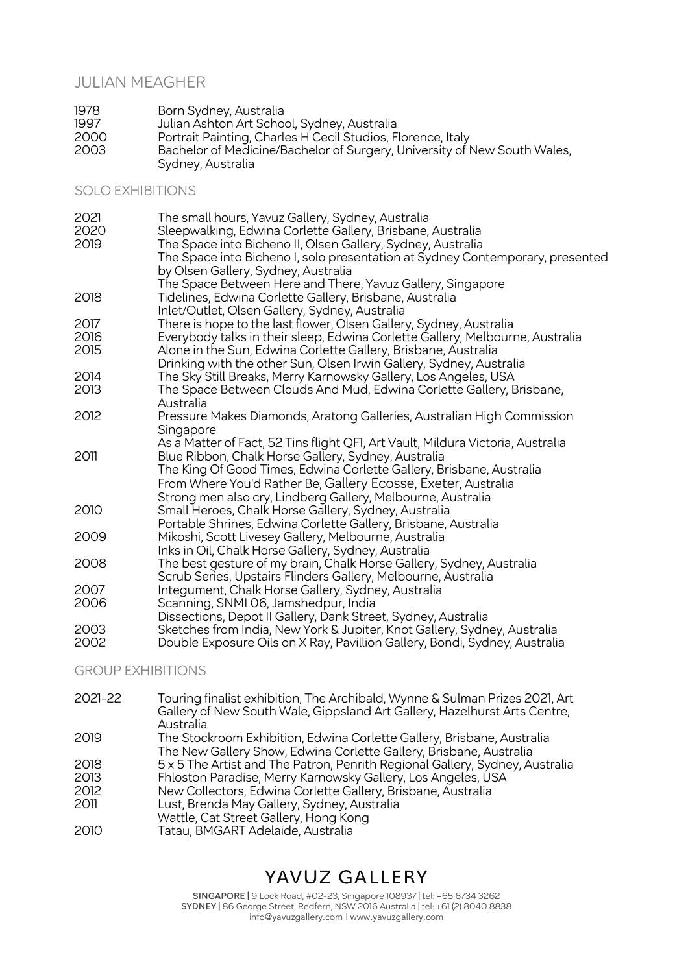### JULIAN MEAGHER

| 1978 | Born Sydney, Australia                                                                        |
|------|-----------------------------------------------------------------------------------------------|
| 1997 | Julian Ashton Art School, Sydney, Australia                                                   |
| 2000 | Portrait Painting, Charles H Cecil Studios, Florence, Italy                                   |
| 2003 | Bachelor of Medicine/Bachelor of Surgery, University of New South Wales,<br>Sydney, Australia |

### SOLO EXHIBITIONS

| 2021<br>2020 | The small hours, Yavuz Gallery, Sydney, Australia<br>Sleepwalking, Edwina Corlette Gallery, Brisbane, Australia      |
|--------------|----------------------------------------------------------------------------------------------------------------------|
| 2019         | The Space into Bicheno II, Olsen Gallery, Sydney, Australia                                                          |
|              | The Space into Bicheno I, solo presentation at Sydney Contemporary, presented<br>by Olsen Gallery, Sydney, Australia |
|              | The Space Between Here and There, Yavuz Gallery, Singapore                                                           |
| 2018         | Tidelines, Edwina Corlette Gallery, Brisbane, Australia                                                              |
|              | Inlet/Outlet, Olsen Gallery, Sydney, Australia                                                                       |
| 2017         | There is hope to the last flower, Olsen Gallery, Sydney, Australia                                                   |
| 2016         | Everybody talks in their sleep, Edwina Corlette Gallery, Melbourne, Australia                                        |
| 2015         | Alone in the Sun, Edwina Corlette Gallery, Brisbane, Australia                                                       |
|              | Drinking with the other Sun, Olsen Irwin Gallery, Sydney, Australia                                                  |
| 2014         | The Sky Still Breaks, Merry Karnowsky Gallery, Los Angeles, USA                                                      |
| 2013         | The Space Between Clouds And Mud, Edwina Corlette Gallery, Brisbane,                                                 |
|              | Australia                                                                                                            |
| 2012         | Pressure Makes Diamonds, Aratong Galleries, Australian High Commission<br>Singapore                                  |
|              | As a Matter of Fact, 52 Tins flight QFI, Art Vault, Mildura Victoria, Australia                                      |
| 2011         | Blue Ribbon, Chalk Horse Gallery, Sydney, Australia                                                                  |
|              | The King Of Good Times, Edwina Corlette Gallery, Brisbane, Australia                                                 |
|              | From Where You'd Rather Be, Gallery Ecosse, Exeter, Australia                                                        |
|              | Strong men also cry, Lindberg Gallery, Melbourne, Australia                                                          |
| 2010         | Small Heroes, Chalk Horse Gallery, Sydney, Australia                                                                 |
|              | Portable Shrines, Edwina Corlette Gallery, Brisbane, Australia                                                       |
| 2009         | Mikoshi, Scott Livesey Gallery, Melbourne, Australia                                                                 |
|              | Inks in Oil, Chalk Horse Gallery, Sydney, Australia                                                                  |
| 2008         | The best gesture of my brain, Chalk Horse Gallery, Sydney, Australia                                                 |
|              | Scrub Series, Upstairs Flinders Gallery, Melbourne, Australia                                                        |
| 2007         | Integument, Chalk Horse Gallery, Sydney, Australia                                                                   |
| 2006         | Scanning, SNMI 06, Jamshedpur, India                                                                                 |
|              | Dissections, Depot II Gallery, Dank Street, Sydney, Australia                                                        |
| 2003         | Sketches from India, New York & Jupiter, Knot Gallery, Sydney, Australia                                             |
| 2002         | Double Exposure Oils on X Ray, Pavillion Gallery, Bondi, Sydney, Australia                                           |

### GROUP EXHIBITIONS

| 2021-22 | Touring finalist exhibition, The Archibald, Wynne & Sulman Prizes 2021, Art<br>Gallery of New South Wale, Gippsland Art Gallery, Hazelhurst Arts Centre,<br>Australia |
|---------|-----------------------------------------------------------------------------------------------------------------------------------------------------------------------|
| 2019    | The Stockroom Exhibition, Edwina Corlette Gallery, Brisbane, Australia<br>The New Gallery Show, Edwina Corlette Gallery, Brisbane, Australia                          |
| 2018    | 5 x 5 The Artist and The Patron, Penrith Regional Gallery, Sydney, Australia                                                                                          |
| 2013    | Fhloston Paradise, Merry Karnowsky Gallery, Los Angeles, USA                                                                                                          |
| 2012    | New Collectors, Edwina Corlette Gallery, Brisbane, Australia                                                                                                          |
| 2011    | Lust, Brenda May Gallery, Sydney, Australia<br>Wattle, Cat Street Gallery, Hong Kong                                                                                  |
| 2010    | Tatau, BMGART Adelaide, Australia                                                                                                                                     |

# YAVUZ GALLERY